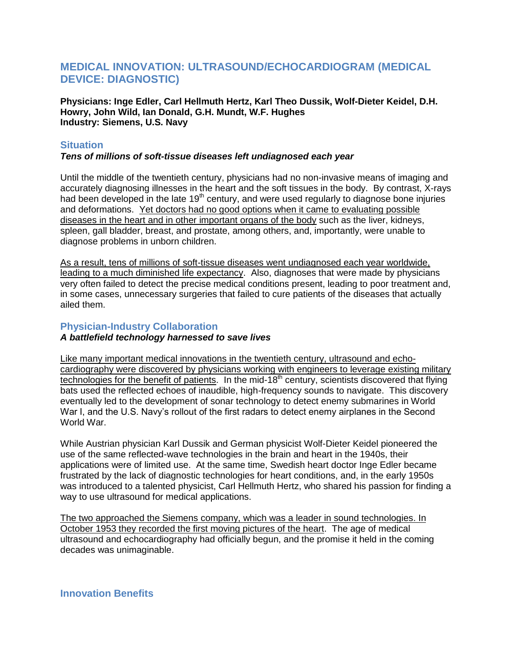# **MEDICAL INNOVATION: ULTRASOUND/ECHOCARDIOGRAM (MEDICAL DEVICE: DIAGNOSTIC)**

**Physicians: Inge Edler, Carl Hellmuth Hertz, Karl Theo Dussik, Wolf-Dieter Keidel, D.H. Howry, John Wild, Ian Donald, G.H. Mundt, W.F. Hughes Industry: Siemens, U.S. Navy**

## **Situation**

#### *Tens of millions of soft-tissue diseases left undiagnosed each year*

Until the middle of the twentieth century, physicians had no non-invasive means of imaging and accurately diagnosing illnesses in the heart and the soft tissues in the body. By contrast, X-rays had been developed in the late  $19<sup>th</sup>$  century, and were used regularly to diagnose bone injuries and deformations. Yet doctors had no good options when it came to evaluating possible diseases in the heart and in other important organs of the body such as the liver, kidneys, spleen, gall bladder, breast, and prostate, among others, and, importantly, were unable to diagnose problems in unborn children.

As a result, tens of millions of soft-tissue diseases went undiagnosed each year worldwide, leading to a much diminished life expectancy. Also, diagnoses that were made by physicians very often failed to detect the precise medical conditions present, leading to poor treatment and, in some cases, unnecessary surgeries that failed to cure patients of the diseases that actually ailed them.

## **Physician-Industry Collaboration**

## *A battlefield technology harnessed to save lives*

Like many important medical innovations in the twentieth century, ultrasound and echocardiography were discovered by physicians working with engineers to leverage existing military technologies for the benefit of patients. In the mid-18<sup>th</sup> century, scientists discovered that flying bats used the reflected echoes of inaudible, high-frequency sounds to navigate. This discovery eventually led to the development of sonar technology to detect enemy submarines in World War I, and the U.S. Navy's rollout of the first radars to detect enemy airplanes in the Second World War.

While Austrian physician Karl Dussik and German physicist Wolf-Dieter Keidel pioneered the use of the same reflected-wave technologies in the brain and heart in the 1940s, their applications were of limited use. At the same time, Swedish heart doctor Inge Edler became frustrated by the lack of diagnostic technologies for heart conditions, and, in the early 1950s was introduced to a talented physicist, Carl Hellmuth Hertz, who shared his passion for finding a way to use ultrasound for medical applications.

The two approached the Siemens company, which was a leader in sound technologies. In October 1953 they recorded the first moving pictures of the heart. The age of medical ultrasound and echocardiography had officially begun, and the promise it held in the coming decades was unimaginable.

**Innovation Benefits**